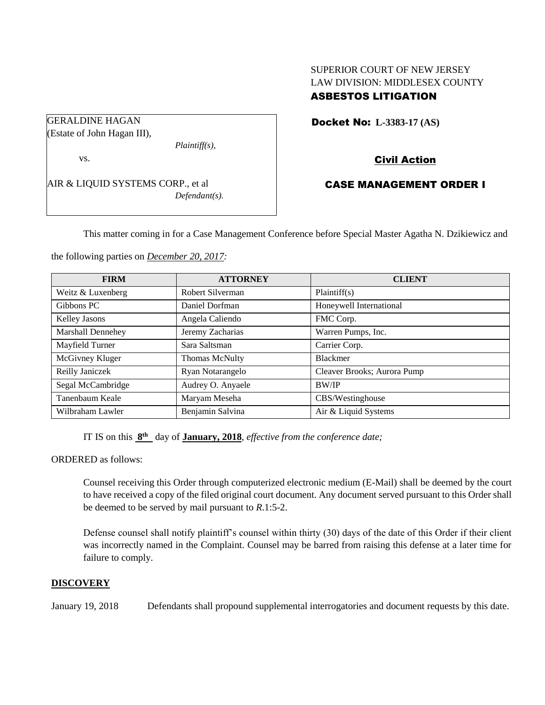## SUPERIOR COURT OF NEW JERSEY LAW DIVISION: MIDDLESEX COUNTY ASBESTOS LITIGATION

GERALDINE HAGAN

(Estate of John Hagan III),

vs.

AIR & LIQUID SYSTEMS CORP., et al *Defendant(s).*

*Plaintiff(s),*

Docket No: **L-3383-17 (AS)** 

# Civil Action

# CASE MANAGEMENT ORDER I

This matter coming in for a Case Management Conference before Special Master Agatha N. Dzikiewicz and

the following parties on *December 20, 2017:*

| <b>FIRM</b>          | <b>ATTORNEY</b>   | <b>CLIENT</b>               |
|----------------------|-------------------|-----------------------------|
| Weitz & Luxenberg    | Robert Silverman  | Plaintiff(s)                |
| Gibbons PC           | Daniel Dorfman    | Honeywell International     |
| <b>Kelley Jasons</b> | Angela Caliendo   | FMC Corp.                   |
| Marshall Dennehey    | Jeremy Zacharias  | Warren Pumps, Inc.          |
| Mayfield Turner      | Sara Saltsman     | Carrier Corp.               |
| McGivney Kluger      | Thomas McNulty    | <b>Blackmer</b>             |
| Reilly Janiczek      | Ryan Notarangelo  | Cleaver Brooks; Aurora Pump |
| Segal McCambridge    | Audrey O. Anyaele | <b>BW/IP</b>                |
| Tanenbaum Keale      | Maryam Meseha     | CBS/Westinghouse            |
| Wilbraham Lawler     | Benjamin Salvina  | Air & Liquid Systems        |

IT IS on this  $8<sup>th</sup>$  day of **January, 2018**, *effective from the conference date*;

ORDERED as follows:

Counsel receiving this Order through computerized electronic medium (E-Mail) shall be deemed by the court to have received a copy of the filed original court document. Any document served pursuant to this Order shall be deemed to be served by mail pursuant to *R*.1:5-2.

Defense counsel shall notify plaintiff's counsel within thirty (30) days of the date of this Order if their client was incorrectly named in the Complaint. Counsel may be barred from raising this defense at a later time for failure to comply.

## **DISCOVERY**

January 19, 2018 Defendants shall propound supplemental interrogatories and document requests by this date.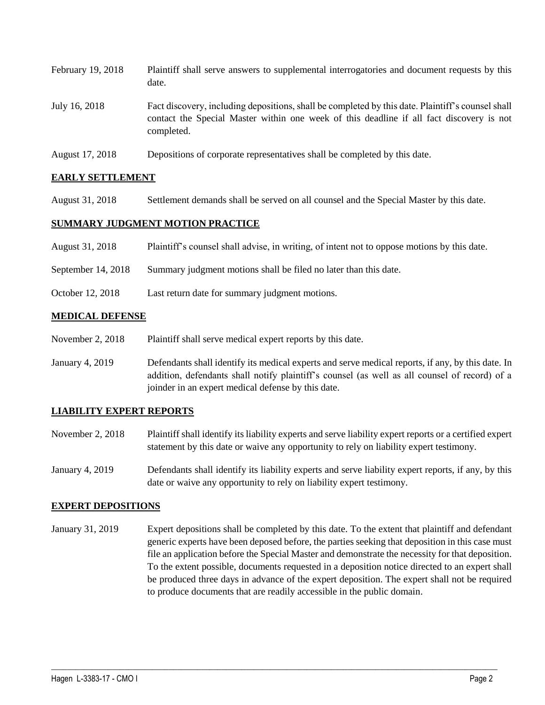| February 19, 2018 | Plaintiff shall serve answers to supplemental interrogatories and document requests by this<br>date.                                                                                                        |
|-------------------|-------------------------------------------------------------------------------------------------------------------------------------------------------------------------------------------------------------|
| July 16, 2018     | Fact discovery, including depositions, shall be completed by this date. Plaintiff's counsel shall<br>contact the Special Master within one week of this deadline if all fact discovery is not<br>completed. |
| August 17, 2018   | Depositions of corporate representatives shall be completed by this date.                                                                                                                                   |

### **EARLY SETTLEMENT**

August 31, 2018 Settlement demands shall be served on all counsel and the Special Master by this date.

#### **SUMMARY JUDGMENT MOTION PRACTICE**

- August 31, 2018 Plaintiff's counsel shall advise, in writing, of intent not to oppose motions by this date.
- September 14, 2018 Summary judgment motions shall be filed no later than this date.
- October 12, 2018 Last return date for summary judgment motions.

#### **MEDICAL DEFENSE**

- November 2, 2018 Plaintiff shall serve medical expert reports by this date.
- January 4, 2019 Defendants shall identify its medical experts and serve medical reports, if any, by this date. In addition, defendants shall notify plaintiff's counsel (as well as all counsel of record) of a joinder in an expert medical defense by this date.

### **LIABILITY EXPERT REPORTS**

- November 2, 2018 Plaintiff shall identify its liability experts and serve liability expert reports or a certified expert statement by this date or waive any opportunity to rely on liability expert testimony.
- January 4, 2019 Defendants shall identify its liability experts and serve liability expert reports, if any, by this date or waive any opportunity to rely on liability expert testimony.

#### **EXPERT DEPOSITIONS**

January 31, 2019 Expert depositions shall be completed by this date. To the extent that plaintiff and defendant generic experts have been deposed before, the parties seeking that deposition in this case must file an application before the Special Master and demonstrate the necessity for that deposition. To the extent possible, documents requested in a deposition notice directed to an expert shall be produced three days in advance of the expert deposition. The expert shall not be required to produce documents that are readily accessible in the public domain.

 $\_$  ,  $\_$  ,  $\_$  ,  $\_$  ,  $\_$  ,  $\_$  ,  $\_$  ,  $\_$  ,  $\_$  ,  $\_$  ,  $\_$  ,  $\_$  ,  $\_$  ,  $\_$  ,  $\_$  ,  $\_$  ,  $\_$  ,  $\_$  ,  $\_$  ,  $\_$  ,  $\_$  ,  $\_$  ,  $\_$  ,  $\_$  ,  $\_$  ,  $\_$  ,  $\_$  ,  $\_$  ,  $\_$  ,  $\_$  ,  $\_$  ,  $\_$  ,  $\_$  ,  $\_$  ,  $\_$  ,  $\_$  ,  $\_$  ,